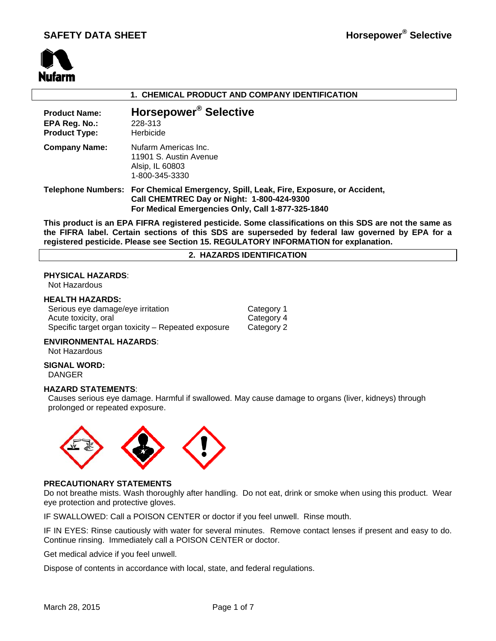

## **1. CHEMICAL PRODUCT AND COMPANY IDENTIFICATION**

| <b>Product Name:</b><br>EPA Reg. No.:<br><b>Product Type:</b> | Horsepower <sup>®</sup> Selective<br>228-313<br>Herbicide                                                                                                                               |
|---------------------------------------------------------------|-----------------------------------------------------------------------------------------------------------------------------------------------------------------------------------------|
| <b>Company Name:</b>                                          | Nufarm Americas Inc.<br>11901 S. Austin Avenue<br>Alsip, IL 60803<br>1-800-345-3330                                                                                                     |
|                                                               | Telephone Numbers: For Chemical Emergency, Spill, Leak, Fire, Exposure, or Accident,<br>Call CHEMTREC Day or Night: 1-800-424-9300<br>For Medical Emergencies Only, Call 1-877-325-1840 |

**This product is an EPA FIFRA registered pesticide. Some classifications on this SDS are not the same as the FIFRA label. Certain sections of this SDS are superseded by federal law governed by EPA for a registered pesticide. Please see Section 15. REGULATORY INFORMATION for explanation.**

#### **2. HAZARDS IDENTIFICATION**

## **PHYSICAL HAZARDS**:

Not Hazardous

## **HEALTH HAZARDS:**

| Serious eye damage/eye irritation                  | Category 1 |
|----------------------------------------------------|------------|
| Acute toxicity, oral                               | Category 4 |
| Specific target organ toxicity – Repeated exposure | Category 2 |

### **ENVIRONMENTAL HAZARDS**:

Not Hazardous

#### **SIGNAL WORD:** DANGER

#### **HAZARD STATEMENTS**:

 Causes serious eye damage. Harmful if swallowed. May cause damage to organs (liver, kidneys) through prolonged or repeated exposure.



## **PRECAUTIONARY STATEMENTS**

Do not breathe mists. Wash thoroughly after handling. Do not eat, drink or smoke when using this product. Wear eye protection and protective gloves.

IF SWALLOWED: Call a POISON CENTER or doctor if you feel unwell. Rinse mouth.

IF IN EYES: Rinse cautiously with water for several minutes. Remove contact lenses if present and easy to do. Continue rinsing. Immediately call a POISON CENTER or doctor.

Get medical advice if you feel unwell.

Dispose of contents in accordance with local, state, and federal regulations.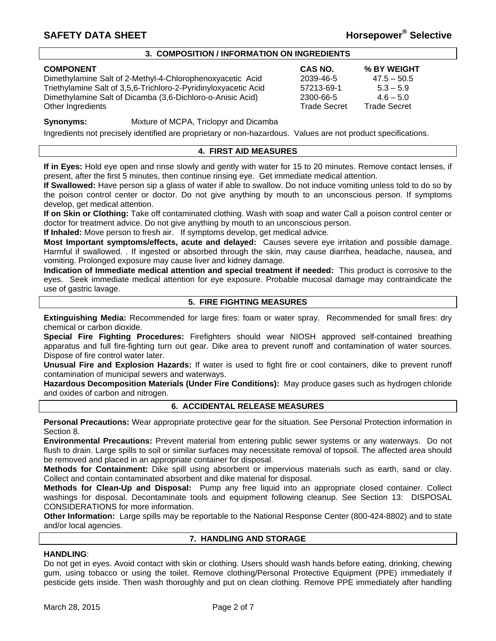## **3. COMPOSITION / INFORMATION ON INGREDIENTS**

| <b>COMPONENT</b>                                                | CAS NO.             | % BY WEIGHT         |
|-----------------------------------------------------------------|---------------------|---------------------|
| Dimethylamine Salt of 2-Methyl-4-Chlorophenoxyacetic Acid       | 2039-46-5           | $47.5 - 50.5$       |
| Triethylamine Salt of 3,5,6-Trichloro-2-Pyridinyloxyacetic Acid | 57213-69-1          | $5.3 - 5.9$         |
| Dimethylamine Salt of Dicamba (3,6-Dichloro-o-Anisic Acid)      | 2300-66-5           | $4.6 - 5.0$         |
| Other Ingredients                                               | <b>Trade Secret</b> | <b>Trade Secret</b> |

**Synonyms:** Mixture of MCPA, Triclopyr and Dicamba

Ingredients not precisely identified are proprietary or non-hazardous. Values are not product specifications.

## **4. FIRST AID MEASURES**

**If in Eyes:** Hold eye open and rinse slowly and gently with water for 15 to 20 minutes. Remove contact lenses, if present, after the first 5 minutes, then continue rinsing eye. Get immediate medical attention.

**If Swallowed:** Have person sip a glass of water if able to swallow. Do not induce vomiting unless told to do so by the poison control center or doctor. Do not give anything by mouth to an unconscious person. If symptoms develop, get medical attention.

**If on Skin or Clothing:** Take off contaminated clothing. Wash with soap and water Call a poison control center or doctor for treatment advice. Do not give anything by mouth to an unconscious person.

**If Inhaled:** Move person to fresh air. If symptoms develop, get medical advice.

**Most Important symptoms/effects, acute and delayed:** Causes severe eye irritation and possible damage. Harmful if swallowed. . If ingested or absorbed through the skin, may cause diarrhea, headache, nausea, and vomiting. Prolonged exposure may cause liver and kidney damage.

**Indication of Immediate medical attention and special treatment if needed:** This product is corrosive to the eyes. Seek immediate medical attention for eye exposure. Probable mucosal damage may contraindicate the use of gastric lavage.

## **5. FIRE FIGHTING MEASURES**

**Extinguishing Media:** Recommended for large fires: foam or water spray. Recommended for small fires: dry chemical or carbon dioxide.

**Special Fire Fighting Procedures:** Firefighters should wear NIOSH approved self-contained breathing apparatus and full fire-fighting turn out gear. Dike area to prevent runoff and contamination of water sources. Dispose of fire control water later.

**Unusual Fire and Explosion Hazards:** If water is used to fight fire or cool containers, dike to prevent runoff contamination of municipal sewers and waterways.

**Hazardous Decomposition Materials (Under Fire Conditions):** May produce gases such as hydrogen chloride and oxides of carbon and nitrogen.

## **6. ACCIDENTAL RELEASE MEASURES**

**Personal Precautions:** Wear appropriate protective gear for the situation. See Personal Protection information in Section 8.

**Environmental Precautions:** Prevent material from entering public sewer systems or any waterways. Do not flush to drain. Large spills to soil or similar surfaces may necessitate removal of topsoil. The affected area should be removed and placed in an appropriate container for disposal.

**Methods for Containment:** Dike spill using absorbent or impervious materials such as earth, sand or clay. Collect and contain contaminated absorbent and dike material for disposal.

**Methods for Clean-Up and Disposal:** Pump any free liquid into an appropriate closed container. Collect washings for disposal. Decontaminate tools and equipment following cleanup. See Section 13: DISPOSAL CONSIDERATIONS for more information.

**Other Information:** Large spills may be reportable to the National Response Center (800-424-8802) and to state and/or local agencies.

## **7. HANDLING AND STORAGE**

## **HANDLING**:

Do not get in eyes. Avoid contact with skin or clothing. Users should wash hands before eating, drinking, chewing gum, using tobacco or using the toilet. Remove clothing/Personal Protective Equipment (PPE) immediately if pesticide gets inside. Then wash thoroughly and put on clean clothing. Remove PPE immediately after handling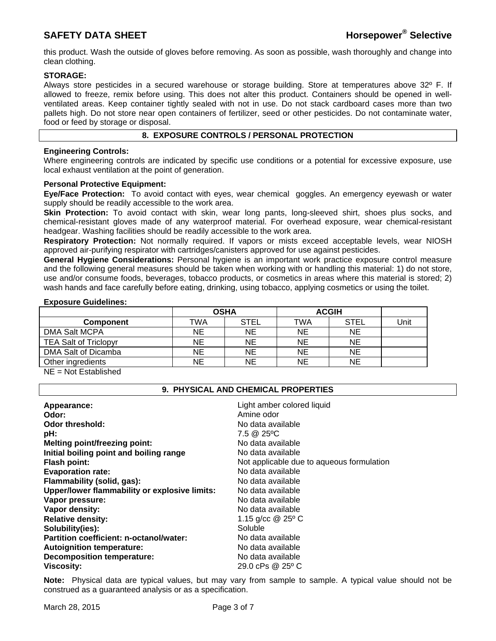this product. Wash the outside of gloves before removing. As soon as possible, wash thoroughly and change into clean clothing.

## **STORAGE:**

Always store pesticides in a secured warehouse or storage building. Store at temperatures above 32º F. If allowed to freeze, remix before using. This does not alter this product. Containers should be opened in wellventilated areas. Keep container tightly sealed with not in use. Do not stack cardboard cases more than two pallets high. Do not store near open containers of fertilizer, seed or other pesticides. Do not contaminate water, food or feed by storage or disposal.

## **8. EXPOSURE CONTROLS / PERSONAL PROTECTION**

## **Engineering Controls:**

Where engineering controls are indicated by specific use conditions or a potential for excessive exposure, use local exhaust ventilation at the point of generation.

## **Personal Protective Equipment:**

**Eye/Face Protection:** To avoid contact with eyes, wear chemical goggles. An emergency eyewash or water supply should be readily accessible to the work area.

**Skin Protection:** To avoid contact with skin, wear long pants, long-sleeved shirt, shoes plus socks, and chemical-resistant gloves made of any waterproof material. For overhead exposure, wear chemical-resistant headgear. Washing facilities should be readily accessible to the work area.

**Respiratory Protection:** Not normally required. If vapors or mists exceed acceptable levels, wear NIOSH approved air-purifying respirator with cartridges/canisters approved for use against pesticides.

**General Hygiene Considerations:** Personal hygiene is an important work practice exposure control measure and the following general measures should be taken when working with or handling this material: 1) do not store, use and/or consume foods, beverages, tobacco products, or cosmetics in areas where this material is stored; 2) wash hands and face carefully before eating, drinking, using tobacco, applying cosmetics or using the toilet.

## **Exposure Guidelines:**

|                              | <b>OSHA</b> |             | <b>ACGIH</b> |             |      |
|------------------------------|-------------|-------------|--------------|-------------|------|
| <b>Component</b>             | TWA         | <b>STEL</b> | TWA          | <b>STEL</b> | Unit |
| DMA Salt MCPA                | ΝE          | <b>NE</b>   | NE           | <b>NE</b>   |      |
| <b>TEA Salt of Triclopyr</b> | <b>NE</b>   | <b>NE</b>   | <b>NE</b>    | <b>NE</b>   |      |
| DMA Salt of Dicamba          | ΝE          | <b>NE</b>   | NE           | NE          |      |
| Other ingredients            | ΝE          | NE          | NE           | <b>NE</b>   |      |

NE = Not Established

## **9. PHYSICAL AND CHEMICAL PROPERTIES**

| Appearance:<br>Odor:                          | Light amber colored liquid<br>Amine odor  |
|-----------------------------------------------|-------------------------------------------|
| <b>Odor threshold:</b>                        | No data available                         |
| pH:                                           | 7.5 @ 25°C                                |
| <b>Melting point/freezing point:</b>          | No data available                         |
| Initial boiling point and boiling range       | No data available                         |
| <b>Flash point:</b>                           | Not applicable due to aqueous formulation |
| <b>Evaporation rate:</b>                      | No data available                         |
| Flammability (solid, gas):                    | No data available                         |
| Upper/lower flammability or explosive limits: | No data available                         |
| Vapor pressure:                               | No data available                         |
| Vapor density:                                | No data available                         |
| <b>Relative density:</b>                      | 1.15 g/cc @ 25° C                         |
| Solubility(ies):                              | Soluble                                   |
| Partition coefficient: n-octanol/water:       | No data available                         |
| <b>Autoignition temperature:</b>              | No data available                         |
| <b>Decomposition temperature:</b>             | No data available                         |
| <b>Viscosity:</b>                             | 29.0 cPs $@25°C$                          |

**Note:** Physical data are typical values, but may vary from sample to sample. A typical value should not be construed as a guaranteed analysis or as a specification.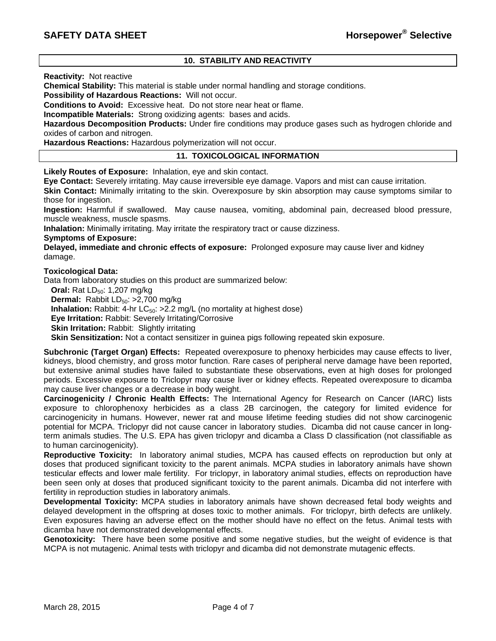## **10. STABILITY AND REACTIVITY**

**Reactivity:** Not reactive

**Chemical Stability:** This material is stable under normal handling and storage conditions.

**Possibility of Hazardous Reactions:** Will not occur.

**Conditions to Avoid:** Excessive heat. Do not store near heat or flame.

**Incompatible Materials:** Strong oxidizing agents: bases and acids.

**Hazardous Decomposition Products:** Under fire conditions may produce gases such as hydrogen chloride and oxides of carbon and nitrogen.

**Hazardous Reactions:** Hazardous polymerization will not occur.

## **11. TOXICOLOGICAL INFORMATION**

**Likely Routes of Exposure:** Inhalation, eye and skin contact.

**Eye Contact:** Severely irritating. May cause irreversible eye damage. Vapors and mist can cause irritation.

**Skin Contact:** Minimally irritating to the skin. Overexposure by skin absorption may cause symptoms similar to those for ingestion.

**Ingestion:** Harmful if swallowed. May cause nausea, vomiting, abdominal pain, decreased blood pressure, muscle weakness, muscle spasms.

**Inhalation:** Minimally irritating. May irritate the respiratory tract or cause dizziness.

### **Symptoms of Exposure:**

**Delayed, immediate and chronic effects of exposure:** Prolonged exposure may cause liver and kidney damage.

### **Toxicological Data:**

Data from laboratory studies on this product are summarized below:

**Oral:** Rat LD<sub>50</sub>: 1,207 mg/kg

**Dermal:** Rabbit LD<sub>50</sub>: >2,700 mg/kg

**Inhalation:** Rabbit: 4-hr  $LC_{50}$ :  $>2.2$  mg/L (no mortality at highest dose)

**Eye Irritation:** Rabbit: Severely Irritating/Corrosive

**Skin Irritation: Rabbit: Slightly irritating** 

**Skin Sensitization:** Not a contact sensitizer in guinea pigs following repeated skin exposure.

**Subchronic (Target Organ) Effects:** Repeated overexposure to phenoxy herbicides may cause effects to liver, kidneys, blood chemistry, and gross motor function. Rare cases of peripheral nerve damage have been reported, but extensive animal studies have failed to substantiate these observations, even at high doses for prolonged periods. Excessive exposure to Triclopyr may cause liver or kidney effects. Repeated overexposure to dicamba may cause liver changes or a decrease in body weight.

**Carcinogenicity / Chronic Health Effects:** The International Agency for Research on Cancer (IARC) lists exposure to chlorophenoxy herbicides as a class 2B carcinogen, the category for limited evidence for carcinogenicity in humans. However, newer rat and mouse lifetime feeding studies did not show carcinogenic potential for MCPA. Triclopyr did not cause cancer in laboratory studies. Dicamba did not cause cancer in longterm animals studies. The U.S. EPA has given triclopyr and dicamba a Class D classification (not classifiable as to human carcinogenicity).

**Reproductive Toxicity:** In laboratory animal studies, MCPA has caused effects on reproduction but only at doses that produced significant toxicity to the parent animals. MCPA studies in laboratory animals have shown testicular effects and lower male fertility. For triclopyr, in laboratory animal studies, effects on reproduction have been seen only at doses that produced significant toxicity to the parent animals. Dicamba did not interfere with fertility in reproduction studies in laboratory animals.

**Developmental Toxicity:** MCPA studies in laboratory animals have shown decreased fetal body weights and delayed development in the offspring at doses toxic to mother animals. For triclopyr, birth defects are unlikely. Even exposures having an adverse effect on the mother should have no effect on the fetus. Animal tests with dicamba have not demonstrated developmental effects.

**Genotoxicity:** There have been some positive and some negative studies, but the weight of evidence is that MCPA is not mutagenic. Animal tests with triclopyr and dicamba did not demonstrate mutagenic effects.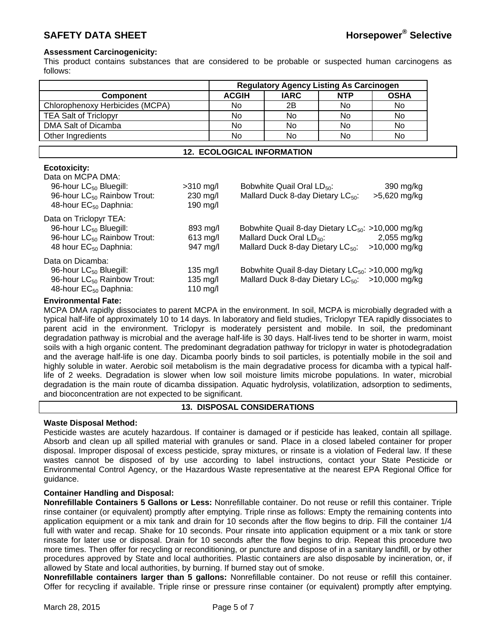## **Assessment Carcinogenicity:**

This product contains substances that are considered to be probable or suspected human carcinogens as follows:

|                                                                                                                                                                |                                                      | <b>Regulatory Agency Listing As Carcinogen</b> |                                                                                  |            |                                                                                                                                                             |
|----------------------------------------------------------------------------------------------------------------------------------------------------------------|------------------------------------------------------|------------------------------------------------|----------------------------------------------------------------------------------|------------|-------------------------------------------------------------------------------------------------------------------------------------------------------------|
| <b>Component</b>                                                                                                                                               |                                                      | <b>ACGIH</b>                                   | <b>IARC</b>                                                                      | <b>NTP</b> | <b>OSHA</b>                                                                                                                                                 |
| Chlorophenoxy Herbicides (MCPA)                                                                                                                                |                                                      | No.                                            | 2B                                                                               | No.        | No.                                                                                                                                                         |
| <b>TEA Salt of Triclopyr</b>                                                                                                                                   |                                                      | No                                             | No.                                                                              | No.        | No.                                                                                                                                                         |
| DMA Salt of Dicamba                                                                                                                                            |                                                      | No.                                            | No                                                                               | No.        | No.                                                                                                                                                         |
| Other Ingredients                                                                                                                                              |                                                      | No                                             | No.                                                                              | No.        | No                                                                                                                                                          |
| <b>12. ECOLOGICAL INFORMATION</b>                                                                                                                              |                                                      |                                                |                                                                                  |            |                                                                                                                                                             |
| <b>Ecotoxicity:</b><br>Data on MCPA DMA:<br>96-hour LC <sub>50</sub> Bluegill:<br>96-hour LC <sub>50</sub> Rainbow Trout:<br>48-hour EC <sub>50</sub> Daphnia: | $>310$ mg/l<br>230 mg/l<br>190 mg/l                  |                                                | Bobwhite Quail Oral LD <sub>50</sub> :<br>Mallard Duck 8-day Dietary $LC_{50}$ : |            | 390 mg/kg<br>>5,620 mg/kg                                                                                                                                   |
| Data on Triclopyr TEA:<br>96-hour LC <sub>50</sub> Bluegill:<br>96-hour LC <sub>50</sub> Rainbow Trout:<br>48 hour EC <sub>50</sub> Daphnia:                   | 893 mg/l<br>$613$ mg/l<br>947 mg/l                   |                                                |                                                                                  |            | Bobwhite Quail 8-day Dietary $LC_{50}$ : >10,000 mg/kg<br>Mallard Duck Oral $LD_{50}$ : 2,055 mg/kg<br>Mallard Duck 8-day Dietary $LC_{50}$ : >10,000 mg/kg |
| Data on Dicamba:<br>96-hour LC <sub>50</sub> Bluegill:<br>96-hour LC <sub>50</sub> Rainbow Trout:<br>48-hour EC <sub>50</sub> Daphnia:                         | $135 \text{ mg/l}$<br>$135 \text{ mg/l}$<br>110 mg/l |                                                |                                                                                  |            | Bobwhite Quail 8-day Dietary $LC_{50}$ : >10,000 mg/kg<br>Mallard Duck 8-day Dietary $LC_{50}$ : >10,000 mg/kg                                              |

### **Environmental Fate:**

MCPA DMA rapidly dissociates to parent MCPA in the environment. In soil, MCPA is microbially degraded with a typical half-life of approximately 10 to 14 days. In laboratory and field studies, Triclopyr TEA rapidly dissociates to parent acid in the environment. Triclopyr is moderately persistent and mobile. In soil, the predominant degradation pathway is microbial and the average half-life is 30 days. Half-lives tend to be shorter in warm, moist soils with a high organic content. The predominant degradation pathway for triclopyr in water is photodegradation and the average half-life is one day. Dicamba poorly binds to soil particles, is potentially mobile in the soil and highly soluble in water. Aerobic soil metabolism is the main degradative process for dicamba with a typical halflife of 2 weeks. Degradation is slower when low soil moisture limits microbe populations. In water, microbial degradation is the main route of dicamba dissipation. Aquatic hydrolysis, volatilization, adsorption to sediments, and bioconcentration are not expected to be significant.

## **13. DISPOSAL CONSIDERATIONS**

## **Waste Disposal Method:**

Pesticide wastes are acutely hazardous. If container is damaged or if pesticide has leaked, contain all spillage. Absorb and clean up all spilled material with granules or sand. Place in a closed labeled container for proper disposal. Improper disposal of excess pesticide, spray mixtures, or rinsate is a violation of Federal law. If these wastes cannot be disposed of by use according to label instructions, contact your State Pesticide or Environmental Control Agency, or the Hazardous Waste representative at the nearest EPA Regional Office for guidance.

## **Container Handling and Disposal:**

**Nonrefillable Containers 5 Gallons or Less:** Nonrefillable container. Do not reuse or refill this container. Triple rinse container (or equivalent) promptly after emptying. Triple rinse as follows: Empty the remaining contents into application equipment or a mix tank and drain for 10 seconds after the flow begins to drip. Fill the container 1/4 full with water and recap. Shake for 10 seconds. Pour rinsate into application equipment or a mix tank or store rinsate for later use or disposal. Drain for 10 seconds after the flow begins to drip. Repeat this procedure two more times. Then offer for recycling or reconditioning, or puncture and dispose of in a sanitary landfill, or by other procedures approved by State and local authorities. Plastic containers are also disposable by incineration, or, if allowed by State and local authorities, by burning. If burned stay out of smoke.

**Nonrefillable containers larger than 5 gallons:** Nonrefillable container. Do not reuse or refill this container. Offer for recycling if available. Triple rinse or pressure rinse container (or equivalent) promptly after emptying.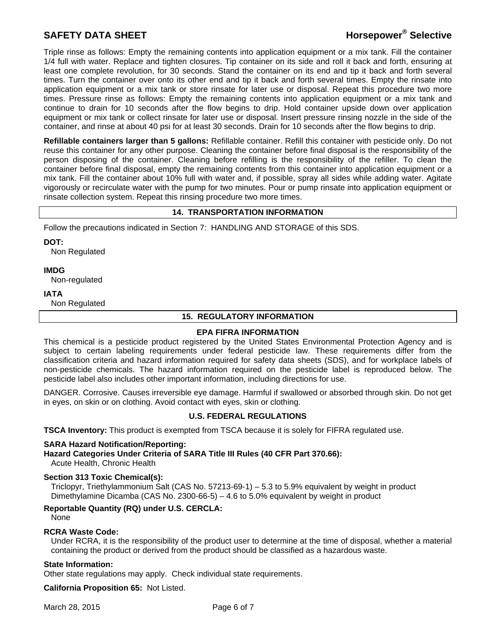# **SAFETY DATA SHEET All and SAFETY DATA SHEET Horsepower®** Selective

Triple rinse as follows: Empty the remaining contents into application equipment or a mix tank. Fill the container 1/4 full with water. Replace and tighten closures. Tip container on its side and roll it back and forth, ensuring at least one complete revolution, for 30 seconds. Stand the container on its end and tip it back and forth several times. Turn the container over onto its other end and tip it back and forth several times. Empty the rinsate into application equipment or a mix tank or store rinsate for later use or disposal. Repeat this procedure two more times. Pressure rinse as follows: Empty the remaining contents into application equipment or a mix tank and continue to drain for 10 seconds after the flow begins to drip. Hold container upside down over application equipment or mix tank or collect rinsate for later use or disposal. Insert pressure rinsing nozzle in the side of the container, and rinse at about 40 psi for at least 30 seconds. Drain for 10 seconds after the flow begins to drip.

**Refillable containers larger than 5 gallons:** Refillable container. Refill this container with pesticide only. Do not reuse this container for any other purpose. Cleaning the container before final disposal is the responsibility of the person disposing of the container. Cleaning before refilling is the responsibility of the refiller. To clean the container before final disposal, empty the remaining contents from this container into application equipment or a mix tank. Fill the container about 10% full with water and, if possible, spray all sides while adding water. Agitate vigorously or recirculate water with the pump for two minutes. Pour or pump rinsate into application equipment or rinsate collection system. Repeat this rinsing procedure two more times.

## **14. TRANSPORTATION INFORMATION**

Follow the precautions indicated in Section 7: HANDLING AND STORAGE of this SDS.

**DOT:** Non Regulated

**IMDG** 

Non-regulated

#### **IATA**

Non Regulated

### **15. REGULATORY INFORMATION**

#### **EPA FIFRA INFORMATION**

This chemical is a pesticide product registered by the United States Environmental Protection Agency and is subject to certain labeling requirements under federal pesticide law. These requirements differ from the classification criteria and hazard information required for safety data sheets (SDS), and for workplace labels of non-pesticide chemicals. The hazard information required on the pesticide label is reproduced below. The pesticide label also includes other important information, including directions for use.

DANGER. Corrosive. Causes irreversible eye damage. Harmful if swallowed or absorbed through skin. Do not get in eyes, on skin or on clothing. Avoid contact with eyes, skin or clothing.

## **U.S. FEDERAL REGULATIONS**

**TSCA Inventory:** This product is exempted from TSCA because it is solely for FIFRA regulated use.

#### **SARA Hazard Notification/Reporting:**

**Hazard Categories Under Criteria of SARA Title III Rules (40 CFR Part 370.66):**

Acute Health, Chronic Health

## **Section 313 Toxic Chemical(s):**

Triclopyr, Triethylammonium Salt (CAS No. 57213-69-1) – 5.3 to 5.9% equivalent by weight in product Dimethylamine Dicamba (CAS No. 2300-66-5)  $-4.6$  to 5.0% equivalent by weight in product

## **Reportable Quantity (RQ) under U.S. CERCLA:**

None

#### **RCRA Waste Code:**

Under RCRA, it is the responsibility of the product user to determine at the time of disposal, whether a material containing the product or derived from the product should be classified as a hazardous waste.

### **State Information:**

Other state regulations may apply. Check individual state requirements.

**California Proposition 65:** Not Listed.